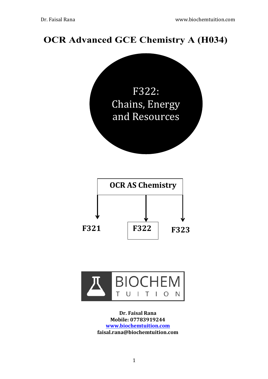# **OCR Advanced GCE Chemistry A (H034)**





**Dr. Faisal Rana Mobile: 07783919244 www.biochemtuition.com faisal.rana@biochemtuition.com**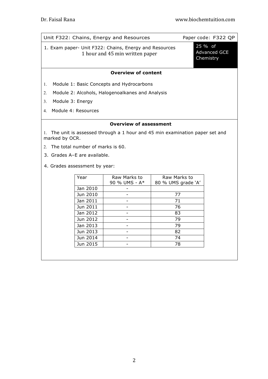| Paper code: F322 QP<br>Unit F322: Chains, Energy and Resources                                     |                                 |                                                  |                                    |  |  |  |
|----------------------------------------------------------------------------------------------------|---------------------------------|--------------------------------------------------|------------------------------------|--|--|--|
| 1. Exam paper- Unit F322: Chains, Energy and Resources                                             | 1 hour and 45 min written paper | 25 % of<br><b>Advanced GCE</b><br>Chemistry      |                                    |  |  |  |
|                                                                                                    |                                 | <b>Overview of content</b>                       |                                    |  |  |  |
| 1.                                                                                                 |                                 | Module 1: Basic Concepts and Hydrocarbons        |                                    |  |  |  |
| 2.                                                                                                 |                                 | Module 2: Alcohols, Halogenoalkanes and Analysis |                                    |  |  |  |
| 3 <sub>1</sub>                                                                                     | Module 3: Energy                |                                                  |                                    |  |  |  |
| $4_{\cdot}$                                                                                        | Module 4: Resources             |                                                  |                                    |  |  |  |
| <b>Overview of assessment</b>                                                                      |                                 |                                                  |                                    |  |  |  |
| The unit is assessed through a 1 hour and 45 min examination paper set and<br>1.<br>marked by OCR. |                                 |                                                  |                                    |  |  |  |
| The total number of marks is 60.<br>2                                                              |                                 |                                                  |                                    |  |  |  |
| 3. Grades A-E are available.                                                                       |                                 |                                                  |                                    |  |  |  |
| 4. Grades assessment by year:                                                                      |                                 |                                                  |                                    |  |  |  |
|                                                                                                    | Year                            | Raw Marks to<br>90 % UMS - A*                    | Raw Marks to<br>80 % UMS grade 'A' |  |  |  |
|                                                                                                    | Jan 2010                        |                                                  |                                    |  |  |  |
|                                                                                                    | Jun 2010                        |                                                  | 77                                 |  |  |  |
|                                                                                                    | Jan 2011                        |                                                  | 71                                 |  |  |  |
|                                                                                                    | Jun 2011                        |                                                  | 76                                 |  |  |  |
|                                                                                                    | Jan 2012                        |                                                  | 83                                 |  |  |  |
| Jun 2012<br>79                                                                                     |                                 |                                                  |                                    |  |  |  |

Jan 2013 - 79 Jun 2013 - 82 Jun 2014 - 74 Jun 2015 - 78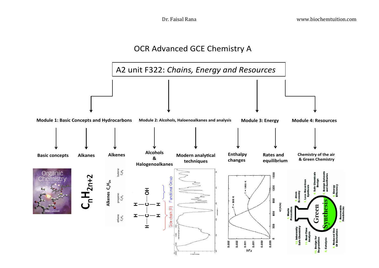## OCR Advanced GCE Chemistry A

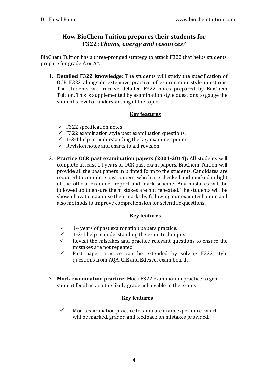## **How BioChem Tuition prepares their students for F322: Chains, energy and resources?**

BioChem Tuition has a three-pronged strategy to attack F322 that helps students prepare for grade A or  $A^*$ .

1. **Detailed F322 knowledge:** The students will study the specification of OCR F322 alongside extensive practice of examination style questions. The students will receive detailed F322 notes prepared by BioChem Tuition. This is supplemented by examination style questions to gauge the student's level of understanding of the topic.

## **Key features**

- $\checkmark$  F322 specification notes.
- $\checkmark$  F322 examination style past examination questions.
- $\checkmark$  1-2-1 help in understanding the key examiner points.
- $\checkmark$  Revision notes and charts to aid revision.
- 2. **Practice OCR past examination papers (2001-2014):** All students will complete at least 14 years of OCR past exam papers. BioChem Tuition will provide all the past papers in printed form to the students. Candidates are required to complete past papers, which are checked and marked in light of the official examiner report and mark scheme. Any mistakes will be followed up to ensure the mistakes are not repeated. The students will be shown how to maximise their marks by following our exam technique and also methods to improve comprehension for scientific questions.

## **Key features**

- $\checkmark$  14 years of past examination papers practice.
- $\checkmark$  1-2-1 help in understanding the exam technique.
- Revisit the mistakes and practice relevant questions to ensure the mistakes are not repeated.
- $\checkmark$  Past paper practice can be extended by solving F322 style questions from AQA, CIE and Edexcel exam boards.
- 3. Mock examination practice: Mock F322 examination practice to give student feedback on the likely grade achievable in the exams.

## **Key features**

 $\checkmark$  Mock examination practice to simulate exam experience, which will be marked, graded and feedback on mistakes provided.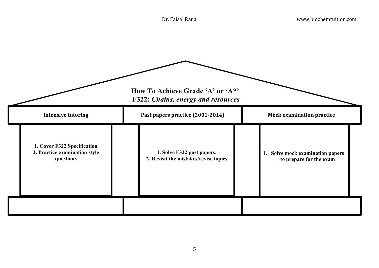|                                                                           | How To Achieve Grade 'A' or 'A*'<br><b>F322: Chains, energy and resources</b> |                                                             |
|---------------------------------------------------------------------------|-------------------------------------------------------------------------------|-------------------------------------------------------------|
| <b>Intensive tutoring</b>                                                 | Past papers practice (2001-2014)                                              | <b>Mock examination practice</b>                            |
| 1. Cover F322 Specification<br>2. Practice examination style<br>questions | 1. Solve F322 past papers.<br>2. Revisit the mistakes/revise topics           | 1. Solve mock examination papers<br>to prepare for the exam |
|                                                                           |                                                                               |                                                             |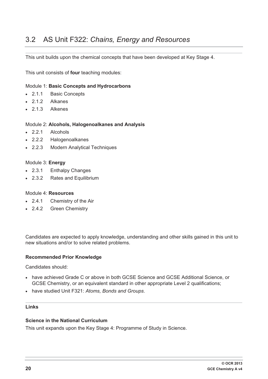## 3.2 AS Unit F322: *Chains, Energy and Resources*

This unit builds upon the chemical concepts that have been developed at Key Stage 4.

This unit consists of **four** teaching modules:

#### Module 1: **Basic Concepts and Hydrocarbons**

- $-2.1.1$ **Basic Concepts**
- 2.1.2 Alkanes
- 2.1.3 Alkenes

#### Module 2: **Alcohols, Halogenoalkanes and Analysis**

- $-2.2.1$ **Alcohols**
- $-2.2.2$ 2.2.2 Halogenoalkanes
- $-2.2.3$ **Modern Analytical Techniques**

#### Module 3: **Energy**

- $-2.3.1$ **Enthalpy Changes**
- $-2.3.2$ Rates and Equilibrium

#### Module 4: **Resources**

- $-2.4.1$ Chemistry of the Air
- $-2.4.2$ **Green Chemistry**

Candidates are expected to apply knowledge, understanding and other skills gained in this unit to new situations and/or to solve related problems.

#### **Recommended Prior Knowledge**

Candidates should:

- have achieved Grade C or above in both GCSE Science and GCSE Additional Science, or GCSE Chemistry, or an equivalent standard in other appropriate Level 2 qualifications;
- have studied Unit F321: *Atoms, Bonds and Groups*.

#### **Links**

#### **Science in the National Curriculum**

This unit expands upon the Key Stage 4: Programme of Study in Science.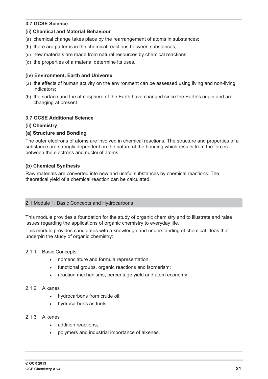## **3.7 GCSE Science**

#### **(ii) Chemical and Material Behaviour**

- (a) chemical change takes place by the rearrangement of atoms in substances;
- (b) there are patterns in the chemical reactions between substances;
- (c) new materials are made from natural resources by chemical reactions;
- (d) the properties of a material determine its uses.

#### **(iv) Environment, Earth and Universe**

- (a) the effects of human activity on the environment can be assessed using living and non-living indicators;
- (b) the surface and the atmosphere of the Earth have changed since the Earth's origin and are changing at present.

#### **3.7 GCSE Additional Science**

**(ii) Chemistry** 

#### **(a) Structure and Bonding**

The outer electrons of atoms are involved in chemical reactions. The structure and properties of a substance are strongly dependent on the nature of the bonding which results from the forces between the electrons and nuclei of atoms.

#### **(b) Chemical Synthesis**

Raw materials are converted into new and useful substances by chemical reactions. The theoretical yield of a chemical reaction can be calculated.

#### 2.1 Module 1: Basic Concepts and Hydrocarbons

This module provides a foundation for the study of organic chemistry and to illustrate and raise issues regarding the applications of organic chemistry to everyday life.

This module provides candidates with a knowledge and understanding of chemical ideas that underpin the study of organic chemistry:

#### 2.1.1 Basic Concepts

- nomenclature and formula representation;
- functional groups, organic reactions and isomerism;
- reaction mechanisms, percentage yield and atom economy.

#### 2.1.2 Alkanes

- $\bullet$ hydrocarbons from crude oil;
- hydrocarbons as fuels.

#### 2.1.3 Alkenes

- addition reactions;
- $\bullet$ polymers and industrial importance of alkenes.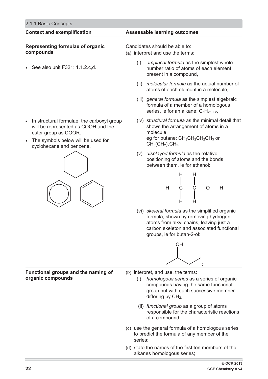#### **Context and exemplification Assessable learning outcomes Representing formulae of organic compounds**  - See also unit F321: 1.1.2.c,d. - In structural formulae, the carboxyl group will be represented as COOH and the ester group as COOR. - The symbols below will be used for cyclohexane and benzene. Candidates should be able to: (a) interpret and use the terms: (i) *empirical formula* as the simplest whole number ratio of atoms of each element present in a compound, atoms of each element in a molecule, formula of a member of a homologous series, ie for an alkane: C<sub>n</sub>H<sub>2n+2</sub>, shows the arrangement of atoms in a molecule, eg for butane:  $CH_3CH_2CH_2CH_3$  or  $CH<sub>3</sub>(CH<sub>2</sub>)<sub>2</sub>CH<sub>3</sub>$



2.1.1 Basic Concepts

- (ii) *molecular formula* as the actual number of
- (iii) *general formula* as the simplest algebraic
- (iv) *structural formula* as the minimal detail that
- (v) *displayed formula* as the relative positioning of atoms and the bonds between them, ie for ethanol:



(vi) *skeletal formula* as the simplified organic formula, shown by removing hydrogen atoms from alkyl chains, leaving just a carbon skeleton and associated functional groups, ie for butan-2-ol:



**Functional groups and the naming of organic compounds** 

- (b) interpret, and use, the terms:
	- (i) *homologous series* as a series of organic compounds having the same functional group but with each successive member differing by  $CH<sub>2</sub>$ ,
	- (ii) *functional group* as a group of atoms responsible for the characteristic reactions of a compound;
- (c) use the general formula of a homologous series to predict the formula of any member of the series;
- (d) state the names of the first ten members of the alkanes homologous series;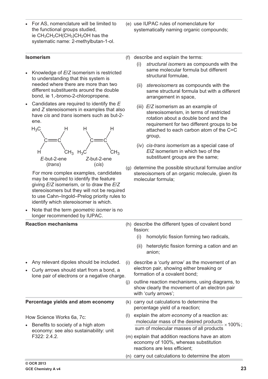- - For AS, nomenclature will be limited to the functional groups studied, ie  $CH_3CH_2CH(CH_3)CH_2OH$  has the systematic name: 2-methylbutan-1-ol.
- (e) use IUPAC rules of nomenclature for systematically naming organic compounds;

#### **Isomerism**

- Knowledge of *E*/*Z* isomerism is restricted to understanding that this system is needed where there are more than two different substituents around the double bond, ie 1,-bromo-2-chloropropene.
- Candidates are required to identify the *E* and *Z* stereoisomers in examples that also have *cis* and *trans* isomers such as but-2 ene.



 For more complex examples, candidates may be required to identify the feature giving *E*/*Z* isomerism, or to draw the *E*/*Z* stereoisomers but they will not be required to use Cahn–Ingold–Prelog priority rules to identify which stereoisomer is which.

- Note that the term *geometric isomer* is no longer recommended by IUPAC.

(f) describe and explain the terms:

- (i) *structural isomers* as compounds with the same molecular formula but different structural formulae,
- (ii) *stereoisomers* as compounds with the same structural formula but with a different arrangement in space,
- (iii) *E*/*Z* isomerism as an example of stereoisomerism, in terms of restricted rotation about a double bond and the requirement for two different groups to be attached to each carbon atom of the C=C group,
- (iv) *cis*-*trans isomerism* as a special case of *EIZ* isomerism in which two of the substituent groups are the same;
- (g) determine the possible structural formulae and/or stereoisomers of an organic molecule, given its molecular formula;

| <b>Reaction mechanisms</b>                                                                                                                        |     | (h) describe the different types of covalent bond<br>fission:                                                                |  |  |
|---------------------------------------------------------------------------------------------------------------------------------------------------|-----|------------------------------------------------------------------------------------------------------------------------------|--|--|
|                                                                                                                                                   |     | homolytic fission forming two radicals,<br>(i)                                                                               |  |  |
|                                                                                                                                                   |     | heterolytic fission forming a cation and an<br>(ii)<br>anion;                                                                |  |  |
| Any relevant dipoles should be included.<br>Curly arrows should start from a bond, a<br>$\bullet$<br>lone pair of electrons or a negative charge. | (i) | describe a 'curly arrow' as the movement of an<br>electron pair, showing either breaking or<br>formation of a covalent bond; |  |  |
|                                                                                                                                                   | (i) | outline reaction mechanisms, using diagrams, to<br>show clearly the movement of an electron pair<br>with 'curly arrows';     |  |  |
| Percentage yields and atom economy                                                                                                                |     | (k) carry out calculations to determine the<br>percentage yield of a reaction;                                               |  |  |
| How Science Works 6a, 7c:                                                                                                                         | (I) | explain the atom economy of a reaction as:                                                                                   |  |  |
| Benefits to society of a high atom<br>$\bullet$<br>economy: see also sustainability: unit                                                         |     | molecular mass of the desired products $\times$ 100%;<br>sum of molecular masses of all products                             |  |  |
| F322: 2.4.2.                                                                                                                                      |     | (m) explain that addition reactions have an atom<br>economy of 100%, whereas substitution<br>reactions are less efficient;   |  |  |
|                                                                                                                                                   |     | (n) carry out calculations to determine the atom                                                                             |  |  |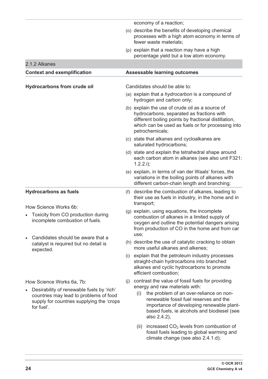|  |                                                                                                    |     | economy of a reaction;                                                                                                                                                                                                       |
|--|----------------------------------------------------------------------------------------------------|-----|------------------------------------------------------------------------------------------------------------------------------------------------------------------------------------------------------------------------------|
|  |                                                                                                    |     | (o) describe the benefits of developing chemical<br>processes with a high atom economy in terms of<br>fewer waste materials;                                                                                                 |
|  |                                                                                                    |     | (p) explain that a reaction may have a high<br>percentage yield but a low atom economy.                                                                                                                                      |
|  | 2.1.2 Alkanes                                                                                      |     |                                                                                                                                                                                                                              |
|  | <b>Context and exemplification</b>                                                                 |     | <b>Assessable learning outcomes</b>                                                                                                                                                                                          |
|  |                                                                                                    |     |                                                                                                                                                                                                                              |
|  | <b>Hydrocarbons from crude oil</b>                                                                 |     | Candidates should be able to:                                                                                                                                                                                                |
|  |                                                                                                    |     | (a) explain that a <i>hydrocarbon</i> is a compound of<br>hydrogen and carbon only;                                                                                                                                          |
|  |                                                                                                    |     | (b) explain the use of crude oil as a source of<br>hydrocarbons, separated as fractions with<br>different boiling points by fractional distillation,<br>which can be used as fuels or for processing into<br>petrochemicals; |
|  |                                                                                                    |     | (c) state that alkanes and cycloalkanes are<br>saturated hydrocarbons;                                                                                                                                                       |
|  |                                                                                                    |     | (d) state and explain the tetrahedral shape around<br>each carbon atom in alkanes (see also unit F321:<br>$1.2.2.1$ ;                                                                                                        |
|  |                                                                                                    |     | (e) explain, in terms of van der Waals' forces, the<br>variations in the boiling points of alkanes with<br>different carbon-chain length and branching;                                                                      |
|  | <b>Hydrocarbons as fuels</b>                                                                       | (f) | describe the combustion of alkanes, leading to<br>their use as fuels in industry, in the home and in<br>transport;                                                                                                           |
|  | How Science Works 6b:<br>Toxicity from CO production during<br>incomplete combustion of fuels.     |     | (g) explain, using equations, the incomplete<br>combustion of alkanes in a limited supply of<br>oxygen and outline the potential dangers arising<br>from production of CO in the home and from car<br>use;                   |
|  | Candidates should be aware that a<br>catalyst is required but no detail is<br>expected.            |     | (h) describe the use of catalytic cracking to obtain<br>more useful alkanes and alkenes;                                                                                                                                     |
|  |                                                                                                    |     | (i) explain that the petroleum industry processes<br>straight-chain hydrocarbons into branched<br>alkanes and cyclic hydrocarbons to promote<br>efficient combustion;                                                        |
|  | How Science Works 6a, 7b:<br>Desirability of renewable fuels by 'rich'                             | (j) | contrast the value of fossil fuels for providing<br>energy and raw materials with:                                                                                                                                           |
|  | countries may lead to problems of food<br>supply for countries supplying the 'crops'<br>for fuel'. |     | the problem of an over-reliance on non-<br>(i)<br>renewable fossil fuel reserves and the<br>importance of developing renewable plant-<br>based fuels, ie alcohols and biodiesel (see<br>also 2.4.2),                         |
|  |                                                                                                    |     | increased $CO2$ levels from combustion of<br>(ii)<br>fossil fuels leading to global warming and<br>climate change (see also 2.4.1.d);                                                                                        |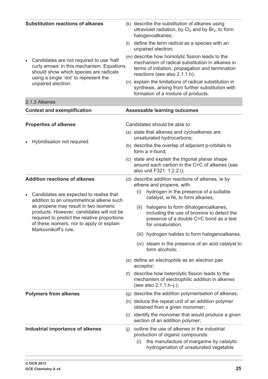| <b>Substitution reactions of alkanes</b>                                                                                                                                                                |     | (k) describe the substitution of alkanes using<br>ultraviolet radiation, by $Cl2$ and by $Br2$ , to form<br>halogenoalkanes;                                                            |
|---------------------------------------------------------------------------------------------------------------------------------------------------------------------------------------------------------|-----|-----------------------------------------------------------------------------------------------------------------------------------------------------------------------------------------|
|                                                                                                                                                                                                         |     | (I) define the term radical as a species with an<br>unpaired electron;                                                                                                                  |
| Candidates are not required to use 'half<br>$\bullet$<br>curly arrows' in this mechanism. Equations<br>should show which species are radicals<br>using a single 'dot' to represent the                  |     | (m) describe how homolytic fission leads to the<br>mechanism of radical substitution in alkanes in<br>terms of initiation, propagation and termination<br>reactions (see also 2.1.1.h); |
| unpaired electron.                                                                                                                                                                                      |     | (n) explain the limitations of radical substitution in<br>synthesis, arising from further substitution with<br>formation of a mixture of products.                                      |
| 2.1.3 Alkenes                                                                                                                                                                                           |     |                                                                                                                                                                                         |
| <b>Context and exemplification</b>                                                                                                                                                                      |     | <b>Assessable learning outcomes</b>                                                                                                                                                     |
| <b>Properties of alkenes</b>                                                                                                                                                                            |     | Candidates should be able to:                                                                                                                                                           |
| Hybridisation not required.<br>$\bullet$                                                                                                                                                                |     | (a) state that alkenes and cycloalkenes are<br>unsaturated hydrocarbons;                                                                                                                |
|                                                                                                                                                                                                         |     | (b) describe the overlap of adjacent p-orbitals to<br>form a $\pi$ -bond;                                                                                                               |
|                                                                                                                                                                                                         |     | (c) state and explain the trigonal planar shape<br>around each carbon in the C=C of alkenes (see<br>also unit F321: 1.2.2.i);                                                           |
| <b>Addition reactions of alkenes</b><br>Candidates are expected to realise that<br>$\bullet$<br>addition to an unsymmetrical alkene such                                                                |     | (d) describe addition reactions of alkenes, ie by<br>ethene and propene, with:<br>hydrogen in the presence of a suitable<br>(i)<br>catalyst, ie Ni, to form alkanes,                    |
| as propene may result in two isomeric<br>products. However, candidates will not be<br>required to predict the relative proportions<br>of these isomers, nor to apply or explain<br>Markovnikoff's rule. |     | halogens to form dihalogenoalkanes,<br>(ii)<br>including the use of bromine to detect the<br>presence of a double C=C bond as a test<br>for unsaturation,                               |
|                                                                                                                                                                                                         |     | hydrogen halides to form halogenoalkanes,<br>(iii)                                                                                                                                      |
|                                                                                                                                                                                                         |     | (iv) steam in the presence of an acid catalyst to<br>form alcohols;                                                                                                                     |
|                                                                                                                                                                                                         |     | (e) define an electrophile as an electron pair<br>acceptor;                                                                                                                             |
|                                                                                                                                                                                                         | (1) | describe how heterolytic fission leads to the<br>mechanism of electrophilic addition in alkenes<br>(see also 2.1.1.h-j.);                                                               |
| <b>Polymers from alkenes</b>                                                                                                                                                                            |     | (g) describe the addition polymerisation of alkenes;                                                                                                                                    |
|                                                                                                                                                                                                         |     | (h) deduce the repeat unit of an addition polymer<br>obtained from a given monomer;                                                                                                     |
|                                                                                                                                                                                                         | (i) | identify the monomer that would produce a given<br>section of an addition polymer;                                                                                                      |
| Industrial importance of alkenes                                                                                                                                                                        | (i) | outline the use of alkenes in the industrial<br>production of organic compounds:<br>the manufacture of margarine by catalytic<br>(i)<br>hydrogenation of unsaturated vegetable          |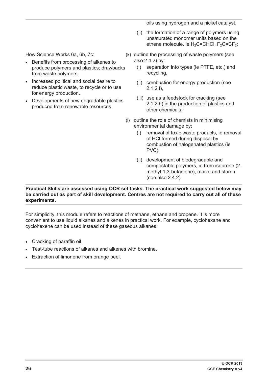oils using hydrogen and a nickel catalyst,

(ii) the formation of a range of polymers using unsaturated monomer units based on the ethene molecule, ie  $H_2C=CHCl$ ,  $F_2C=CF_2$ ;

How Science Works 6a, 6b, 7c:

- Benefits from processing of alkenes to produce polymers and plastics; drawbacks from waste polymers.
- Increased political and social desire to reduce plastic waste, to recycle or to use for energy production.
- Developments of new degradable plastics produced from renewable resources.

(k) outline the processing of waste polymers (see also 2.4.2) by:

- (i) separation into types (ie PTFE, etc.) and recycling,
- (ii) combustion for energy production (see 2.1.2.f),
- (iii) use as a feedstock for cracking (see 2.1.2.h) in the production of plastics and other chemicals;
- (l) outline the role of chemists in minimising environmental damage by:
	- (i) removal of toxic waste products, ie removal of HCl formed during disposal by combustion of halogenated plastics (ie PVC),
	- (ii) development of biodegradable and compostable polymers, ie from isoprene (2 methyl-1,3-butadiene), maize and starch (see also 2.4.2).

#### **Practical Skills are assessed using OCR set tasks. The practical work suggested below may be carried out as part of skill development. Centres are not required to carry out all of these experiments.**

For simplicity, this module refers to reactions of methane, ethane and propene. It is more convenient to use liquid alkanes and alkenes in practical work. For example, cyclohexane and cyclohexene can be used instead of these gaseous alkanes.

- Cracking of paraffin oil.
- Test-tube reactions of alkanes and alkenes with bromine.
- Extraction of limonene from orange peel.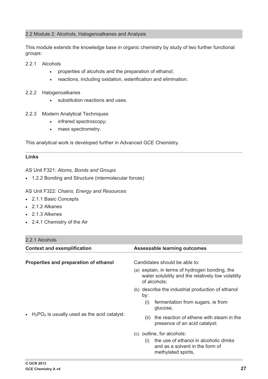#### 2.2 Module 2: Alcohols, Halogenoalkanes and Analysis

This module extends the knowledge base in organic chemistry by study of two further functional groups:

- 2.2.1 Alcohols
	- $\bullet$ properties of alcohols and the preparation of ethanol;
	- $\bullet$ reactions, including oxidation, esterification and elimination.
- 2.2.2 Halogenoalkanes
	- substitution reactions and uses.
- 2.2.3 Modern Analytical Techniques
	- infrared spectroscopy;
	- $\bullet$ mass spectrometry.

This analytical work is developed further in Advanced GCE Chemistry.

#### **Links**

AS Unit F321: *Atoms, Bonds and Groups*

- 1.2.2 Bonding and Structure (intermolecular forces)

AS Unit F322: *Chains, Energy and Resources*

- 2.1.1 Basic Concepts
- 2.1.2 Alkanes
- 2.1.3 Alkenes
- 2.4.1 Chemistry of the Air

## 2.2.1 Alcohols

| <b>Context and exemplification</b>                           | <b>Assessable learning outcomes</b>                                                                                                   |  |  |  |
|--------------------------------------------------------------|---------------------------------------------------------------------------------------------------------------------------------------|--|--|--|
| Properties and preparation of ethanol                        | Candidates should be able to:                                                                                                         |  |  |  |
|                                                              | (a) explain, in terms of hydrogen bonding, the<br>water solubility and the relatively low volatility<br>of alcohols;                  |  |  |  |
|                                                              | (b) describe the industrial production of ethanol<br>by:                                                                              |  |  |  |
| $H_3PO_4$ is usually used as the acid catalyst.<br>$\bullet$ | fermentation from sugars, ie from<br>(i)<br>glucose,                                                                                  |  |  |  |
|                                                              | the reaction of ethene with steam in the<br>(ii)<br>presence of an acid catalyst;                                                     |  |  |  |
|                                                              | (c) outline, for alcohols:<br>the use of ethanol in alcoholic drinks<br>(1)<br>and as a solvent in the form of<br>methylated spirits, |  |  |  |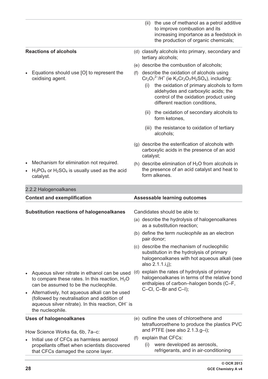|           |                                                                                                                                                                                   |     | the use of methanol as a petrol additive<br>(ii)<br>to improve combustion and its<br>increasing importance as a feedstock in<br>the production of organic chemicals;                                                                                                                                                                                        |
|-----------|-----------------------------------------------------------------------------------------------------------------------------------------------------------------------------------|-----|-------------------------------------------------------------------------------------------------------------------------------------------------------------------------------------------------------------------------------------------------------------------------------------------------------------------------------------------------------------|
|           | <b>Reactions of alcohols</b>                                                                                                                                                      |     | (d) classify alcohols into primary, secondary and<br>tertiary alcohols;                                                                                                                                                                                                                                                                                     |
|           |                                                                                                                                                                                   |     | (e) describe the combustion of alcohols;                                                                                                                                                                                                                                                                                                                    |
|           | Equations should use [O] to represent the<br>oxidising agent.                                                                                                                     | (f) | describe the oxidation of alcohols using<br>$Cr_2O_7^2$ <sup>-/</sup> H <sup>+</sup> (ie K <sub>2</sub> Cr <sub>2</sub> O <sub>7</sub> /H <sub>2</sub> SO <sub>4</sub> ), including:<br>the oxidation of primary alcohols to form<br>(i)<br>aldehydes and carboxylic acids; the<br>control of the oxidation product using<br>different reaction conditions, |
|           |                                                                                                                                                                                   |     | (ii) the oxidation of secondary alcohols to<br>form ketones,                                                                                                                                                                                                                                                                                                |
|           |                                                                                                                                                                                   |     | (iii) the resistance to oxidation of tertiary<br>alcohols:                                                                                                                                                                                                                                                                                                  |
|           |                                                                                                                                                                                   |     | (g) describe the esterification of alcohols with<br>carboxylic acids in the presence of an acid<br>catalyst;                                                                                                                                                                                                                                                |
|           | Mechanism for elimination not required.<br>$H_3PO_4$ or $H_2SO_4$ is usually used as the acid<br>catalyst.                                                                        |     | (h) describe elimination of $H_2O$ from alcohols in<br>the presence of an acid catalyst and heat to<br>form alkenes.                                                                                                                                                                                                                                        |
|           | 2.2.2 Halogenoalkanes                                                                                                                                                             |     |                                                                                                                                                                                                                                                                                                                                                             |
|           | <b>Context and exemplification</b>                                                                                                                                                |     | <b>Assessable learning outcomes</b>                                                                                                                                                                                                                                                                                                                         |
|           | <b>Substitution reactions of halogenoalkanes</b>                                                                                                                                  |     | Candidates should be able to:                                                                                                                                                                                                                                                                                                                               |
|           |                                                                                                                                                                                   |     | (a) describe the hydrolysis of halogenoalkanes<br>as a substitution reaction;                                                                                                                                                                                                                                                                               |
|           |                                                                                                                                                                                   |     | (b) define the term <i>nucleophile</i> as an electron<br>pair donor;                                                                                                                                                                                                                                                                                        |
|           |                                                                                                                                                                                   |     | (c) describe the mechanism of nucleophilic<br>substitution in the hydrolysis of primary<br>halogenoalkanes with hot aqueous alkali (see<br>also 2.1.1.i,j);                                                                                                                                                                                                 |
|           | Aqueous silver nitrate in ethanol can be used<br>to compare these rates. In this reaction, $H_2O$<br>can be assumed to be the nucleophile.                                        |     | (d) explain the rates of hydrolysis of primary<br>halogenoalkanes in terms of the relative bond<br>enthalpies of carbon-halogen bonds (C-F,                                                                                                                                                                                                                 |
| $\bullet$ | Alternatively, hot aqueous alkali can be used<br>(followed by neutralisation and addition of<br>aqueous silver nitrate). In this reaction, OH <sup>-</sup> is<br>the nucleophile. |     | C-CI, C-Br and C-I);                                                                                                                                                                                                                                                                                                                                        |
|           | <b>Uses of halogenoalkanes</b>                                                                                                                                                    |     | (e) outline the uses of chloroethene and<br>tetrafluoroethene to produce the plastics PVC                                                                                                                                                                                                                                                                   |
|           | How Science Works 6a, 6b, 7a–c:                                                                                                                                                   |     | and PTFE (see also $2.1.3.g-i$ );                                                                                                                                                                                                                                                                                                                           |
|           |                                                                                                                                                                                   | (f) | explain that CFCs:                                                                                                                                                                                                                                                                                                                                          |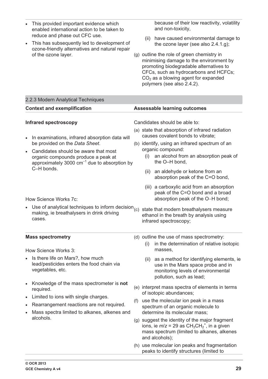| This provided important evidence which<br>enabled international action to be taken to<br>reduce and phase out CFC use.<br>This has subsequently led to development of<br>ozone-friendly alternatives and natural repair<br>of the ozone layer.                                                                                                                                                                 | because of their low reactivity, volatility<br>and non-toxicity,<br>have caused environmental damage to<br>(ii)<br>the ozone layer (see also 2.4.1.g);<br>(g) outline the role of green chemistry in<br>minimising damage to the environment by<br>promoting biodegradable alternatives to<br>CFCs, such as hydrocarbons and HCFCs;<br>$CO2$ as a blowing agent for expanded<br>polymers (see also 2.4.2).                                                                                                                                                                       |
|----------------------------------------------------------------------------------------------------------------------------------------------------------------------------------------------------------------------------------------------------------------------------------------------------------------------------------------------------------------------------------------------------------------|----------------------------------------------------------------------------------------------------------------------------------------------------------------------------------------------------------------------------------------------------------------------------------------------------------------------------------------------------------------------------------------------------------------------------------------------------------------------------------------------------------------------------------------------------------------------------------|
| 2.2.3 Modern Analytical Techniques                                                                                                                                                                                                                                                                                                                                                                             |                                                                                                                                                                                                                                                                                                                                                                                                                                                                                                                                                                                  |
| <b>Context and exemplification</b>                                                                                                                                                                                                                                                                                                                                                                             | <b>Assessable learning outcomes</b>                                                                                                                                                                                                                                                                                                                                                                                                                                                                                                                                              |
| <b>Infrared spectroscopy</b><br>In examinations, infrared absorption data will<br>be provided on the Data Sheet.<br>Candidates should be aware that most<br>organic compounds produce a peak at<br>approximately 3000 $cm^{-1}$ due to absorption by<br>C-H bonds.<br>How Science Works 7c:<br>Use of analytical techniques to inform decision $_{(c)}$<br>making, ie breathalysers in drink driving<br>cases. | Candidates should be able to:<br>(a) state that absorption of infrared radiation<br>causes covalent bonds to vibrate;<br>(b) identify, using an infrared spectrum of an<br>organic compound:<br>an alcohol from an absorption peak of<br>(i)<br>the O-H bond,<br>an aldehyde or ketone from an<br>(ii)<br>absorption peak of the C=O bond,<br>(iii) a carboxylic acid from an absorption<br>peak of the C=O bond and a broad<br>absorption peak of the O-H bond;<br>state that modern breathalysers measure<br>ethanol in the breath by analysis using<br>infrared spectroscopy; |
| <b>Mass spectrometry</b><br>How Science Works 3:                                                                                                                                                                                                                                                                                                                                                               | (d) outline the use of mass spectrometry:<br>in the determination of relative isotopic<br>(i)<br>masses,                                                                                                                                                                                                                                                                                                                                                                                                                                                                         |
| Is there life on Mars?, how much<br>lead/pesticides enters the food chain via<br>vegetables, etc.                                                                                                                                                                                                                                                                                                              | as a method for identifying elements, ie<br>(ii)<br>use in the Mars space probe and in<br>monitoring levels of environmental<br>pollution, such as lead;                                                                                                                                                                                                                                                                                                                                                                                                                         |
| Knowledge of the mass spectrometer is not<br>required.<br>Limited to ions with single charges.<br>Rearrangement reactions are not required.<br>Mass spectra limited to alkanes, alkenes and<br>alcohols.                                                                                                                                                                                                       | (e) interpret mass spectra of elements in terms<br>of isotopic abundances;<br>use the molecular ion peak in a mass<br>(f)<br>spectrum of an organic molecule to<br>determine its molecular mass;<br>(g) suggest the identity of the major fragment<br>ions, ie $m/z = 29$ as $CH_3CH_2^+$ , in a given<br>mass spectrum (limited to alkanes, alkenes<br>and alcohols);<br>(h) use molecular ion peaks and fragmentation                                                                                                                                                          |
|                                                                                                                                                                                                                                                                                                                                                                                                                | peaks to identify structures (limited to                                                                                                                                                                                                                                                                                                                                                                                                                                                                                                                                         |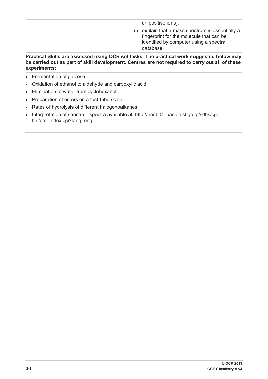unipositive ions);

(i) explain that a mass spectrum is essentially a fingerprint for the molecule that can be identified by computer using a spectral database.

#### **Practical Skills are assessed using OCR set tasks. The practical work suggested below may be carried out as part of skill development. Centres are not required to carry out all of these experiments:**

- Fermentation of glucose.
- Oxidation of ethanol to aldehyde and carboxylic acid.
- Elimination of water from cyclohexanol.
- Preparation of esters on a test-tube scale.
- Rates of hydrolysis of different halogenoalkanes.
- Interpretation of spectra spectra available at: http://riodb01.ibase.aist.go.jp/sdbs/cgibin/cre\_index.cgi?lang=eng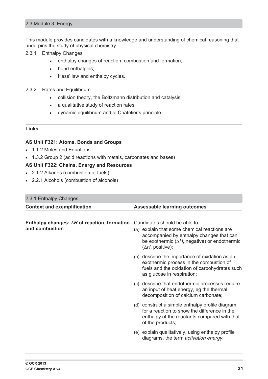#### 2.3 Module 3: Energy

This module provides candidates with a knowledge and understanding of chemical reasoning that underpins the study of physical chemistry.

- 2.3.1 Enthalpy Changes
	- $\bullet$ enthalpy changes of reaction, combustion and formation;
	- $\bullet$ bond enthalpies;
	- $\bullet$ Hess' law and enthalpy cycles.
- 2.3.2 Rates and Equilibrium
	- $\bullet$ collision theory, the Boltzmann distribution and catalysis;
	- a qualitative study of reaction rates;
	- $\bullet$ dynamic equilibrium and le Chatelier's principle.

#### **Links**

#### **AS Unit F321: Atoms, Bonds and Groups**

- 1.1.2 Moles and Equations
- 1.3.2 Group 2 (acid reactions with metals, carbonates and bases)

## **AS Unit F322: Chains, Energy and Resources**

- 2.1.2 Alkanes (combustion of fuels)
- 2.2.1 Alcohols (combustion of alcohols)

## 2.3.1 Enthalpy Changes

| $2.0.1$ Ellulaipy Orialigoo                                           |                                                                                                                                                                                                                     |  |
|-----------------------------------------------------------------------|---------------------------------------------------------------------------------------------------------------------------------------------------------------------------------------------------------------------|--|
| <b>Context and exemplification</b>                                    | <b>Assessable learning outcomes</b>                                                                                                                                                                                 |  |
|                                                                       |                                                                                                                                                                                                                     |  |
| Enthalpy changes: $\Delta H$ of reaction, formation<br>and combustion | Candidates should be able to:<br>(a) explain that some chemical reactions are<br>accompanied by enthalpy changes that can<br>be exothermic $(\Delta H, \text{ negative})$ or endothermic<br>$(\Delta H,$ positive); |  |
|                                                                       | (b) describe the importance of oxidation as an<br>exothermic process in the combustion of<br>fuels and the oxidation of carbohydrates such<br>as glucose in respiration;                                            |  |
|                                                                       | (c) describe that endothermic processes require<br>an input of heat energy, eg the thermal<br>decomposition of calcium carbonate;                                                                                   |  |
|                                                                       | (d) construct a simple enthalpy profile diagram<br>for a reaction to show the difference in the<br>enthalpy of the reactants compared with that<br>of the products;                                                 |  |
|                                                                       | (e) explain qualitatively, using enthalpy profile<br>diagrams, the term activation energy;                                                                                                                          |  |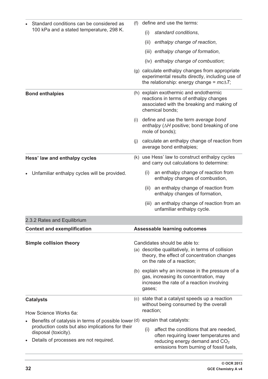| (f)<br>Standard conditions can be considered as<br>100 kPa and a stated temperature, 298 K.              |     | define and use the terms:                                                                                                                                              |  |  |
|----------------------------------------------------------------------------------------------------------|-----|------------------------------------------------------------------------------------------------------------------------------------------------------------------------|--|--|
|                                                                                                          |     | standard conditions,<br>(i)                                                                                                                                            |  |  |
|                                                                                                          |     | enthalpy change of reaction,<br>(ii)                                                                                                                                   |  |  |
|                                                                                                          |     | (iii) enthalpy change of formation,                                                                                                                                    |  |  |
|                                                                                                          |     | (iv) enthalpy change of combustion;                                                                                                                                    |  |  |
|                                                                                                          |     | (g) calculate enthalpy changes from appropriate<br>experimental results directly, including use of<br>the relationship: energy change = $mc\Delta T$ ;                 |  |  |
| <b>Bond enthalpies</b>                                                                                   |     | (h) explain exothermic and endothermic<br>reactions in terms of enthalpy changes<br>associated with the breaking and making of<br>chemical bonds:                      |  |  |
|                                                                                                          | (i) | define and use the term average bond<br>enthalpy (AH positive; bond breaking of one<br>mole of bonds);                                                                 |  |  |
|                                                                                                          | (i) | calculate an enthalpy change of reaction from<br>average bond enthalpies;                                                                                              |  |  |
| Hess' law and enthalpy cycles                                                                            |     | (k) use Hess' law to construct enthalpy cycles<br>and carry out calculations to determine:                                                                             |  |  |
| Unfamiliar enthalpy cycles will be provided.                                                             |     | an enthalpy change of reaction from<br>(i)<br>enthalpy changes of combustion,                                                                                          |  |  |
|                                                                                                          |     | an enthalpy change of reaction from<br>(ii)<br>enthalpy changes of formation,                                                                                          |  |  |
|                                                                                                          |     | an enthalpy change of reaction from an<br>(iii)<br>unfamiliar enthalpy cycle.                                                                                          |  |  |
| 2.3.2 Rates and Equilibrium                                                                              |     |                                                                                                                                                                        |  |  |
| <b>Context and exemplification</b>                                                                       |     | <b>Assessable learning outcomes</b>                                                                                                                                    |  |  |
| <b>Simple collision theory</b>                                                                           |     | Candidates should be able to:<br>(a) describe qualitatively, in terms of collision<br>theory, the effect of concentration changes<br>on the rate of a reaction;        |  |  |
|                                                                                                          |     | (b) explain why an increase in the pressure of a<br>gas, increasing its concentration, may<br>increase the rate of a reaction involving<br>gases;                      |  |  |
| <b>Catalysts</b>                                                                                         |     | (c) state that a catalyst speeds up a reaction<br>without being consumed by the overall                                                                                |  |  |
| How Science Works 6a:                                                                                    |     | reaction;                                                                                                                                                              |  |  |
| Benefits of catalysis in terms of possible lower (d)<br>production costs but also implications for their |     | explain that catalysts:                                                                                                                                                |  |  |
| disposal (toxicity).<br>Details of processes are not required.                                           |     | affect the conditions that are needed,<br>(i)<br>often requiring lower temperatures and<br>reducing energy demand and $CO2$<br>emissions from burning of fossil fuels, |  |  |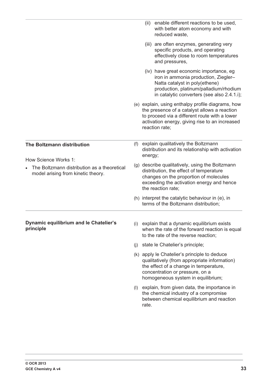|                                                                                   |     | enable different reactions to be used,<br>(ii)<br>with better atom economy and with<br>reduced waste,                                                                                                                  |
|-----------------------------------------------------------------------------------|-----|------------------------------------------------------------------------------------------------------------------------------------------------------------------------------------------------------------------------|
|                                                                                   |     | (iii) are often enzymes, generating very<br>specific products, and operating<br>effectively close to room temperatures<br>and pressures,                                                                               |
|                                                                                   |     | (iv) have great economic importance, eg<br>iron in ammonia production, Ziegler-<br>Natta catalyst in poly(ethene)<br>production, platinum/palladium/rhodium<br>in catalytic converters (see also 2.4.1.i);             |
|                                                                                   |     | (e) explain, using enthalpy profile diagrams, how<br>the presence of a catalyst allows a reaction<br>to proceed via a different route with a lower<br>activation energy, giving rise to an increased<br>reaction rate; |
| The Boltzmann distribution<br>How Science Works 1:                                | (f) | explain qualitatively the Boltzmann<br>distribution and its relationship with activation<br>energy;                                                                                                                    |
| The Boltzmann distribution as a theoretical<br>model arising from kinetic theory. |     | (g) describe qualitatively, using the Boltzmann<br>distribution, the effect of temperature<br>changes on the proportion of molecules<br>exceeding the activation energy and hence<br>the reaction rate;                |
|                                                                                   |     | (h) interpret the catalytic behaviour in (e), in<br>terms of the Boltzmann distribution;                                                                                                                               |
| Dynamic equilibrium and le Chatelier's<br>principle                               | (i) | explain that a dynamic equilibrium exists<br>when the rate of the forward reaction is equal<br>to the rate of the reverse reaction;                                                                                    |
|                                                                                   | (j) | state le Chatelier's principle;                                                                                                                                                                                        |
|                                                                                   |     | (k) apply le Chatelier's principle to deduce<br>qualitatively (from appropriate information)<br>the effect of a change in temperature,<br>concentration or pressure, on a<br>homogeneous system in equilibrium;        |
|                                                                                   | (1) | explain, from given data, the importance in<br>the chemical industry of a compromise<br>between chemical equilibrium and reaction<br>rate.                                                                             |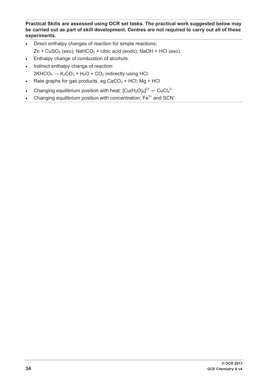**Practical Skills are assessed using OCR set tasks. The practical work suggested below may be carried out as part of skill development. Centres are not required to carry out all of these experiments.** 

- $\bullet$  Direct enthalpy changes of reaction for simple reactions:  $Zn + CuSO<sub>4</sub> (exo); NaHCO<sub>3</sub> + citric acid (endo); NaOH + HCl (exo).$
- $\bullet$ Enthalpy change of combustion of alcohols.
- $\bullet$  Indirect enthalpy change of reaction:  $2KHCO<sub>3</sub> \rightarrow K<sub>2</sub>CO<sub>3</sub> + H<sub>2</sub>O + CO<sub>2</sub>$  indirectly using HCl.
- Rate graphs for gas products, eg CaCO<sub>3</sub> + HCl; Mg + HCl
- Changing equilibrium position with heat:  $[Cu(H_2O)_6]^{2^+}$   $\Rightarrow$  CuCl<sub>4</sub><sup>2-</sup>
- Changing equilibrium position with concentration:  $Fe<sup>3+</sup>$  and SCN<sup>-</sup>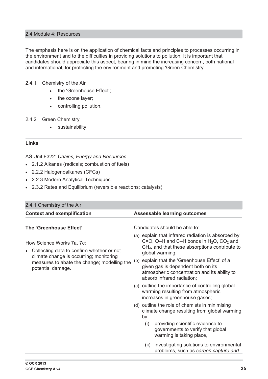## 2.4 Module 4: Resources

The emphasis here is on the application of chemical facts and principles to processes occurring in the environment and to the difficulties in providing solutions to pollution. It is important that candidates should appreciate this aspect, bearing in mind the increasing concern, both national and international, for protecting the environment and promoting 'Green Chemistry'.

#### 2.4.1 Chemistry of the Air

- the 'Greenhouse Effect';
- $\bullet$ the ozone layer;
- $\bullet$ controlling pollution.

#### 2.4.2 Green Chemistry

 $\bullet$ sustainability.

#### **Links**

AS Unit F322: *Chains, Energy and Resources*

- 2.1.2 Alkanes (radicals; combustion of fuels)
- 2.2.2 Halogenoalkanes (CFCs)
- 2.2.3 Modern Analytical Techniques
- 2.3.2 Rates and Equilibrium (reversible reactions; catalysts)

| 2.4.1 Chemistry of the Air                                                                                                                                                            |                                                                                                                                                                                     |  |  |  |
|---------------------------------------------------------------------------------------------------------------------------------------------------------------------------------------|-------------------------------------------------------------------------------------------------------------------------------------------------------------------------------------|--|--|--|
| <b>Context and exemplification</b>                                                                                                                                                    | <b>Assessable learning outcomes</b>                                                                                                                                                 |  |  |  |
| The 'Greenhouse Effect'                                                                                                                                                               | Candidates should be able to:                                                                                                                                                       |  |  |  |
| How Science Works 7a, 7c:<br>Collecting data to confirm whether or not<br>climate change is occurring; monitoring<br>measures to abate the change; modelling the<br>potential damage. | (a) explain that infrared radiation is absorbed by<br>C=O, O-H and C-H bonds in $H_2O$ , CO <sub>2</sub> and<br>$CH4$ , and that these absorptions contribute to<br>global warming; |  |  |  |
|                                                                                                                                                                                       | (b) explain that the 'Greenhouse Effect' of a<br>given gas is dependent both on its<br>atmospheric concentration and its ability to<br>absorb infrared radiation;                   |  |  |  |
|                                                                                                                                                                                       | (c) outline the importance of controlling global<br>warming resulting from atmospheric<br>increases in greenhouse gases;                                                            |  |  |  |
|                                                                                                                                                                                       | (d) outline the role of chemists in minimising<br>climate change resulting from global warming<br>by:                                                                               |  |  |  |
|                                                                                                                                                                                       | providing scientific evidence to<br>(i)<br>governments to verify that global<br>warming is taking place,                                                                            |  |  |  |
|                                                                                                                                                                                       | investigating solutions to environmental<br>(ii)<br>problems, such as carbon capture and                                                                                            |  |  |  |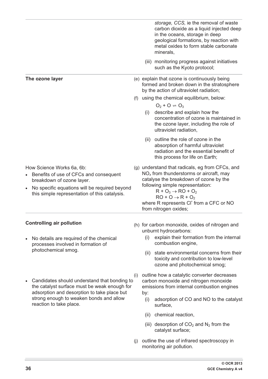|           |                                                                                                                                                                                                                   |     | storage, CCS, ie the removal of waste<br>carbon dioxide as a liquid injected deep<br>in the oceans, storage in deep<br>geological formations, by reaction with<br>metal oxides to form stable carbonate<br>minerals,                                                                                             |
|-----------|-------------------------------------------------------------------------------------------------------------------------------------------------------------------------------------------------------------------|-----|------------------------------------------------------------------------------------------------------------------------------------------------------------------------------------------------------------------------------------------------------------------------------------------------------------------|
|           |                                                                                                                                                                                                                   |     | (iii) monitoring progress against initiatives<br>such as the Kyoto protocol;                                                                                                                                                                                                                                     |
|           | The ozone layer                                                                                                                                                                                                   |     | (e) explain that ozone is continuously being<br>formed and broken down in the stratosphere<br>by the action of ultraviolet radiation;                                                                                                                                                                            |
|           |                                                                                                                                                                                                                   | (f) | using the chemical equilibrium, below:                                                                                                                                                                                                                                                                           |
|           |                                                                                                                                                                                                                   |     | $Q_2 + Q = Q_3$<br>describe and explain how the<br>(i)<br>concentration of ozone is maintained in<br>the ozone layer, including the role of<br>ultraviolet radiation,                                                                                                                                            |
|           |                                                                                                                                                                                                                   |     | outline the role of ozone in the<br>(ii)<br>absorption of harmful ultraviolet<br>radiation and the essential benefit of<br>this process for life on Earth;                                                                                                                                                       |
| $\bullet$ | How Science Works 6a, 6b:<br>Benefits of use of CFCs and consequent<br>breakdown of ozone layer.<br>No specific equations will be required beyond<br>this simple representation of this catalysis.                |     | (g) understand that radicals, eg from CFCs, and<br>$NOx$ from thunderstorms or aircraft, may<br>catalyse the breakdown of ozone by the<br>following simple representation:<br>$R + O_3 \rightarrow RO + O_2$<br>$RO + O \rightarrow R + O_2$<br>where R represents CI' from a CFC or NO<br>from nitrogen oxides; |
|           | <b>Controlling air pollution</b>                                                                                                                                                                                  |     | (h) for carbon monoxide, oxides of nitrogen and                                                                                                                                                                                                                                                                  |
| $\bullet$ | No details are required of the chemical<br>processes involved in formation of                                                                                                                                     |     | unburnt hydrocarbons:<br>explain their formation from the internal<br>(i)<br>combustion engine,                                                                                                                                                                                                                  |
|           | photochemical smog.                                                                                                                                                                                               |     | state environmental concerns from their<br>(ii)<br>toxicity and contribution to low-level<br>ozone and photochemical smog;                                                                                                                                                                                       |
| $\bullet$ | Candidates should understand that bonding to<br>the catalyst surface must be weak enough for<br>adsorption and desorption to take place but<br>strong enough to weaken bonds and allow<br>reaction to take place. | (i) | outline how a catalytic converter decreases<br>carbon monoxide and nitrogen monoxide<br>emissions from internal combustion engines                                                                                                                                                                               |
|           |                                                                                                                                                                                                                   |     | by:<br>adsorption of CO and NO to the catalyst<br>(i)<br>surface,                                                                                                                                                                                                                                                |
|           |                                                                                                                                                                                                                   |     | chemical reaction,<br>(ii)                                                                                                                                                                                                                                                                                       |
|           |                                                                                                                                                                                                                   |     | (iii) desorption of $CO2$ and N <sub>2</sub> from the<br>catalyst surface;                                                                                                                                                                                                                                       |
|           |                                                                                                                                                                                                                   | (j) | outline the use of infrared spectroscopy in<br>monitoring air pollution.                                                                                                                                                                                                                                         |